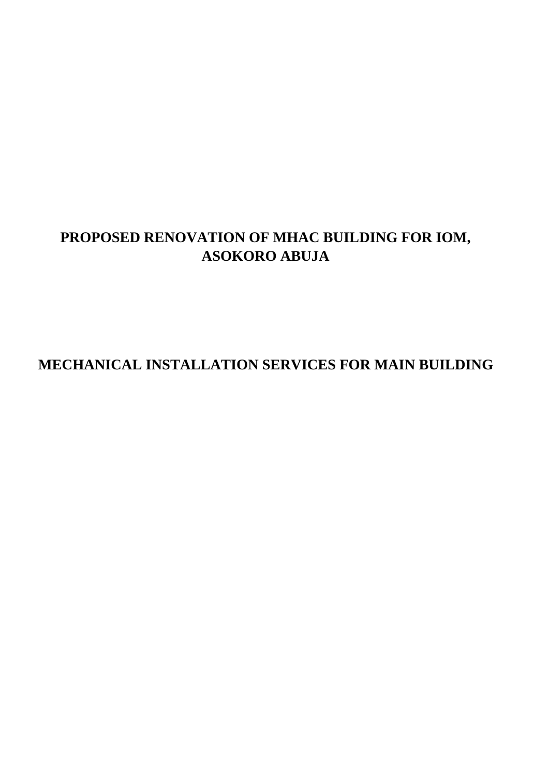## **PROPOSED RENOVATION OF MHAC BUILDING FOR IOM, ASOKORO ABUJA**

## **MECHANICAL INSTALLATION SERVICES FOR MAIN BUILDING**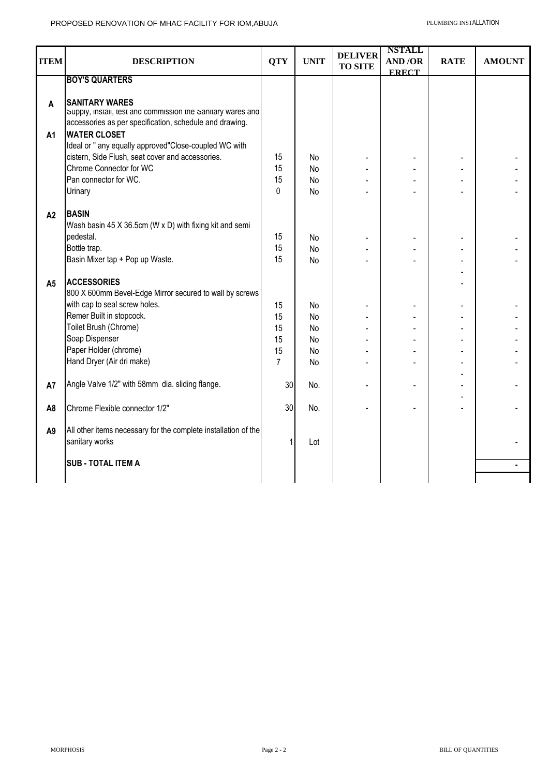| <b>ITEM</b>         | <b>DESCRIPTION</b>                                                                                                                                                                                                                                                                  | <b>QTY</b>     | <b>UNIT</b>           | <b>DELIVER</b><br><b>TO SITE</b> | <b>NSTALL</b><br><b>AND/OR</b><br><b>ERECT</b> | <b>RATE</b> | <b>AMOUNT</b> |
|---------------------|-------------------------------------------------------------------------------------------------------------------------------------------------------------------------------------------------------------------------------------------------------------------------------------|----------------|-----------------------|----------------------------------|------------------------------------------------|-------------|---------------|
|                     | <b>BOY'S QUARTERS</b>                                                                                                                                                                                                                                                               |                |                       |                                  |                                                |             |               |
| A<br>A <sub>1</sub> | <b>SANITARY WARES</b><br>supply, install, test and commission the sanitary wares and<br>accessories as per specification, schedule and drawing.<br><b>WATER CLOSET</b><br>Ideal or " any equally approved"Close-coupled WC with<br>cistern, Side Flush, seat cover and accessories. | 15             | No.                   |                                  |                                                |             |               |
|                     | Chrome Connector for WC                                                                                                                                                                                                                                                             | 15             | <b>No</b>             |                                  |                                                |             |               |
|                     | Pan connector for WC.                                                                                                                                                                                                                                                               | 15             | <b>No</b>             |                                  |                                                |             |               |
|                     | Urinary                                                                                                                                                                                                                                                                             | $\Omega$       | <b>No</b>             |                                  |                                                |             |               |
| A2                  | <b>BASIN</b><br>Wash basin 45 X 36.5cm (W x D) with fixing kit and semi<br>pedestal.<br>Bottle trap.<br>Basin Mixer tap + Pop up Waste.                                                                                                                                             | 15<br>15<br>15 | No<br><b>No</b><br>No |                                  |                                                |             |               |
| A <sub>5</sub>      | <b>ACCESSORIES</b><br>800 X 600mm Bevel-Edge Mirror secured to wall by screws<br>with cap to seal screw holes.                                                                                                                                                                      | 15             | No                    |                                  |                                                |             |               |
|                     | Remer Built in stopcock.                                                                                                                                                                                                                                                            | 15             | <b>No</b>             |                                  |                                                |             |               |
|                     | Toilet Brush (Chrome)                                                                                                                                                                                                                                                               | 15             | No                    |                                  |                                                |             |               |
|                     | Soap Dispenser                                                                                                                                                                                                                                                                      | 15             | No                    |                                  |                                                |             |               |
|                     | Paper Holder (chrome)                                                                                                                                                                                                                                                               | 15             | No                    |                                  |                                                |             |               |
|                     | Hand Dryer (Air dri make)                                                                                                                                                                                                                                                           | $\overline{7}$ | <b>No</b>             |                                  |                                                |             |               |
| A7                  | Angle Valve 1/2" with 58mm dia. sliding flange.                                                                                                                                                                                                                                     | 30             | No.                   |                                  |                                                |             |               |
| A <sub>8</sub>      | Chrome Flexible connector 1/2"                                                                                                                                                                                                                                                      | 30             | No.                   |                                  |                                                |             |               |
| A <sub>9</sub>      | All other items necessary for the complete installation of the<br>sanitary works                                                                                                                                                                                                    |                | Lot                   |                                  |                                                |             |               |
|                     | <b>SUB - TOTAL ITEM A</b>                                                                                                                                                                                                                                                           |                |                       |                                  |                                                |             |               |
|                     |                                                                                                                                                                                                                                                                                     |                |                       |                                  |                                                |             |               |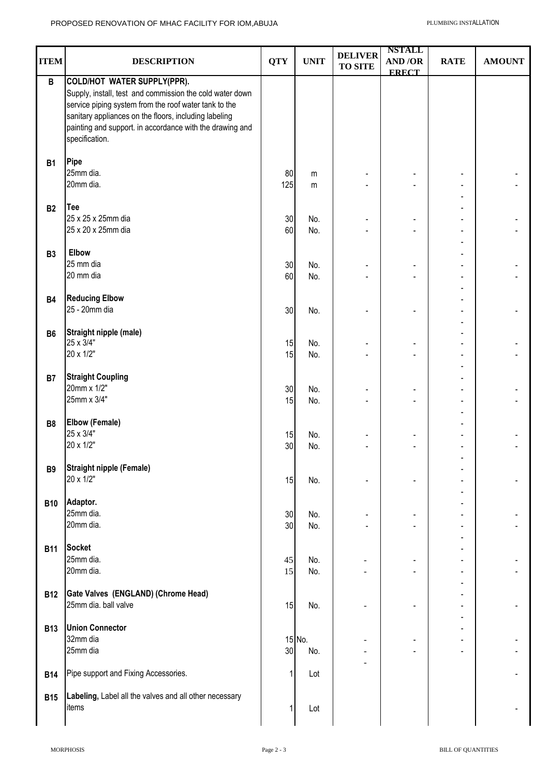|                |                                                          |              |             |                | <b>NSTALL</b>            |             |               |
|----------------|----------------------------------------------------------|--------------|-------------|----------------|--------------------------|-------------|---------------|
| <b>ITEM</b>    | <b>DESCRIPTION</b>                                       | <b>QTY</b>   | <b>UNIT</b> | <b>DELIVER</b> | <b>AND/OR</b>            | <b>RATE</b> | <b>AMOUNT</b> |
|                |                                                          |              |             | <b>TO SITE</b> | <b>ERECT</b>             |             |               |
| $\, {\bf B}$   | COLD/HOT WATER SUPPLY(PPR).                              |              |             |                |                          |             |               |
|                |                                                          |              |             |                |                          |             |               |
|                | Supply, install, test and commission the cold water down |              |             |                |                          |             |               |
|                | service piping system from the roof water tank to the    |              |             |                |                          |             |               |
|                | sanitary appliances on the floors, including labeling    |              |             |                |                          |             |               |
|                | painting and support. in accordance with the drawing and |              |             |                |                          |             |               |
|                | specification.                                           |              |             |                |                          |             |               |
|                |                                                          |              |             |                |                          |             |               |
| <b>B1</b>      | Pipe                                                     |              |             |                |                          |             |               |
|                | 25mm dia.                                                | 80           |             |                |                          |             |               |
|                | 20mm dia.                                                |              | m           |                |                          |             |               |
|                |                                                          | 125          | m           |                |                          |             |               |
|                |                                                          |              |             |                |                          |             |               |
| <b>B2</b>      | Tee                                                      |              |             |                |                          |             |               |
|                | 25 x 25 x 25mm dia                                       | 30           | No.         |                |                          |             |               |
|                | 25 x 20 x 25mm dia                                       | 60           | No.         |                |                          |             |               |
|                |                                                          |              |             |                |                          |             |               |
| <b>B3</b>      | Elbow                                                    |              |             |                |                          |             |               |
|                | 25 mm dia                                                | 30           | No.         |                |                          |             |               |
|                | 20 mm dia                                                | 60           | No.         |                |                          |             |               |
|                |                                                          |              |             |                |                          |             |               |
|                |                                                          |              |             |                |                          |             |               |
| <b>B4</b>      | <b>Reducing Elbow</b>                                    |              |             |                |                          |             |               |
|                | 25 - 20mm dia                                            | $30\,$       | No.         |                |                          |             |               |
|                |                                                          |              |             |                |                          |             |               |
| <b>B6</b>      | Straight nipple (male)                                   |              |             |                |                          |             |               |
|                | 25 x 3/4"                                                | 15           | No.         |                |                          |             |               |
|                | 20 x 1/2"                                                | 15           | No.         |                |                          |             |               |
|                |                                                          |              |             |                |                          |             |               |
| <b>B7</b>      | <b>Straight Coupling</b>                                 |              |             |                |                          |             |               |
|                | 20mm x 1/2"                                              | 30           | No.         |                |                          |             |               |
|                | 25mm x 3/4"                                              |              |             |                |                          |             |               |
|                |                                                          | 15           | No.         | $\blacksquare$ |                          |             |               |
|                |                                                          |              |             |                |                          |             |               |
| B <sub>8</sub> | <b>Elbow (Female)</b>                                    |              |             |                |                          |             |               |
|                | 25 x 3/4"                                                | 15           | No.         |                |                          |             |               |
|                | 20 x 1/2"                                                | 30           | No.         |                |                          |             |               |
|                |                                                          |              |             |                |                          |             |               |
| <b>B9</b>      | <b>Straight nipple (Female)</b>                          |              |             |                |                          |             |               |
|                | 20 x 1/2"                                                | 15           | No.         |                |                          |             |               |
|                |                                                          |              |             |                |                          |             |               |
|                | Adaptor.                                                 |              |             |                |                          |             |               |
| <b>B10</b>     |                                                          |              |             |                |                          |             |               |
|                | 25mm dia.                                                | 30           | No.         |                |                          |             |               |
|                | 20mm dia.                                                | 30           | No.         |                |                          |             |               |
|                |                                                          |              |             |                |                          |             |               |
| <b>B11</b>     | <b>Socket</b>                                            |              |             |                |                          |             |               |
|                | 25mm dia.                                                | 45           | No.         |                |                          |             |               |
|                | 20mm dia.                                                | 15           | No.         |                |                          |             |               |
|                |                                                          |              |             |                |                          |             |               |
| <b>B12</b>     | Gate Valves (ENGLAND) (Chrome Head)                      |              |             |                |                          |             |               |
|                | 25mm dia. ball valve                                     | 15           | No.         |                |                          |             |               |
|                |                                                          |              |             |                |                          |             |               |
|                |                                                          |              |             |                |                          |             |               |
| <b>B13</b>     | <b>Union Connector</b>                                   |              |             |                |                          |             |               |
|                | 32mm dia                                                 |              | 15 No.      |                | $\overline{\phantom{a}}$ |             |               |
|                | 25mm dia                                                 | 30           | No.         |                |                          |             |               |
|                |                                                          |              |             |                |                          |             |               |
| <b>B14</b>     | Pipe support and Fixing Accessories.                     | $\mathbf{1}$ | Lot         |                |                          |             |               |
|                |                                                          |              |             |                |                          |             |               |
| <b>B15</b>     | Labeling, Label all the valves and all other necessary   |              |             |                |                          |             |               |
|                | items                                                    | 1            | Lot         |                |                          |             |               |
|                |                                                          |              |             |                |                          |             |               |
|                |                                                          |              |             |                |                          |             |               |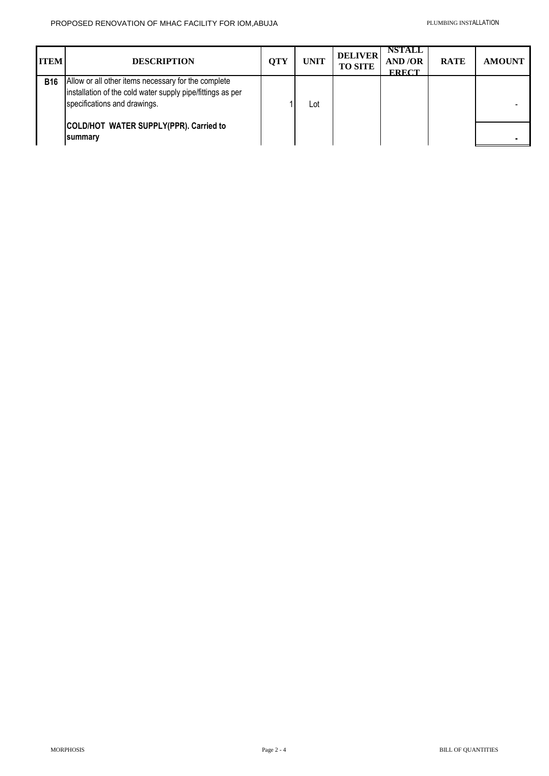| <b>ITEM</b> | <b>DESCRIPTION</b>                                                                                                                                | <b>QTY</b> | <b>UNIT</b> | <b>DELIVER</b><br><b>TO SITE</b> | <b>NSTALL</b><br><b>AND/OR</b><br><b>ERECT</b> | <b>RATE</b> | <b>AMOUNT</b> |
|-------------|---------------------------------------------------------------------------------------------------------------------------------------------------|------------|-------------|----------------------------------|------------------------------------------------|-------------|---------------|
| <b>B16</b>  | Allow or all other items necessary for the complete<br>installation of the cold water supply pipe/fittings as per<br>specifications and drawings. |            | Lot         |                                  |                                                |             |               |
|             | COLD/HOT WATER SUPPLY(PPR). Carried to<br><b>summary</b>                                                                                          |            |             |                                  |                                                |             |               |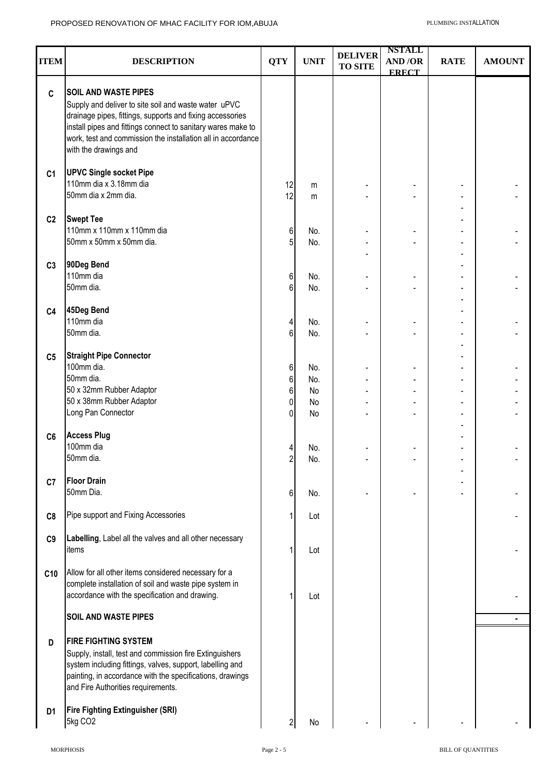| <b>ITEM</b>    | <b>DESCRIPTION</b>                                                                                                                                                                                                                                                                                        | <b>QTY</b>          | <b>UNIT</b>    | <b>DELIVER</b><br><b>TO SITE</b> | <b>NSTALL</b><br>AND/OR          | <b>RATE</b> | <b>AMOUNT</b> |
|----------------|-----------------------------------------------------------------------------------------------------------------------------------------------------------------------------------------------------------------------------------------------------------------------------------------------------------|---------------------|----------------|----------------------------------|----------------------------------|-------------|---------------|
|                |                                                                                                                                                                                                                                                                                                           |                     |                |                                  | <b>ERECT</b>                     |             |               |
| $\mathbf c$    | <b>SOIL AND WASTE PIPES</b><br>Supply and deliver to site soil and waste water uPVC<br>drainage pipes, fittings, supports and fixing accessories<br>install pipes and fittings connect to sanitary wares make to<br>work, test and commission the installation all in accordance<br>with the drawings and |                     |                |                                  |                                  |             |               |
| C <sub>1</sub> | <b>UPVC Single socket Pipe</b><br>110mm dia x 3.18mm dia<br>50mm dia x 2mm dia.                                                                                                                                                                                                                           | 12<br>12            | m<br>m         |                                  |                                  |             |               |
| C <sub>2</sub> | <b>Swept Tee</b><br>110mm x 110mm x 110mm dia<br>50mm x 50mm x 50mm dia.                                                                                                                                                                                                                                  | 6<br>5              | No.<br>No.     |                                  |                                  |             |               |
| C <sub>3</sub> | 90Deg Bend<br>110mm dia<br>50mm dia.                                                                                                                                                                                                                                                                      | 6<br>$6\phantom{a}$ | No.<br>No.     |                                  |                                  |             |               |
| C <sub>4</sub> | 45Deg Bend<br>110mm dia<br>50mm dia.                                                                                                                                                                                                                                                                      | 4<br>6              | No.<br>No.     |                                  |                                  |             |               |
| C <sub>5</sub> | <b>Straight Pipe Connector</b><br>100mm dia.<br>50mm dia.<br>50 x 32mm Rubber Adaptor                                                                                                                                                                                                                     | 6<br>6<br>6         | No.<br>No.     |                                  | -                                |             |               |
|                | 50 x 38mm Rubber Adaptor<br>Long Pan Connector                                                                                                                                                                                                                                                            | 0<br>0              | No<br>No<br>No |                                  | $\blacksquare$<br>$\overline{a}$ |             |               |
| C6             | <b>Access Plug</b><br>100mm dia<br>50mm dia.                                                                                                                                                                                                                                                              | 4<br>$\overline{c}$ | No.<br>No.     |                                  |                                  |             |               |
| C7             | <b>Floor Drain</b><br>50mm Dia.                                                                                                                                                                                                                                                                           | 6                   | No.            |                                  |                                  |             |               |
| C8             | Pipe support and Fixing Accessories                                                                                                                                                                                                                                                                       | 1                   | Lot            |                                  |                                  |             |               |
| C9             | Labelling, Label all the valves and all other necessary<br>items                                                                                                                                                                                                                                          |                     | Lot            |                                  |                                  |             |               |
| C10            | Allow for all other items considered necessary for a<br>complete installation of soil and waste pipe system in<br>accordance with the specification and drawing.                                                                                                                                          |                     | Lot            |                                  |                                  |             |               |
|                | <b>SOIL AND WASTE PIPES</b>                                                                                                                                                                                                                                                                               |                     |                |                                  |                                  |             |               |
| D              | <b>FIRE FIGHTING SYSTEM</b><br>Supply, install, test and commission fire Extinguishers<br>system including fittings, valves, support, labelling and<br>painting, in accordance with the specifications, drawings<br>and Fire Authorities requirements.                                                    |                     |                |                                  |                                  |             |               |
| D <sub>1</sub> | <b>Fire Fighting Extinguisher (SRI)</b><br>5kg CO2                                                                                                                                                                                                                                                        | $\overline{c}$      | No             |                                  |                                  |             |               |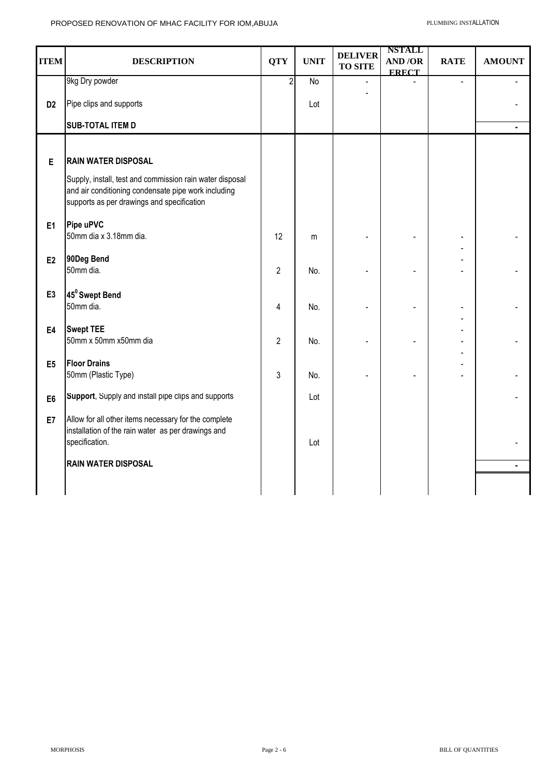| <b>ITEM</b>    | <b>DESCRIPTION</b>                                                                                                                            | <b>QTY</b>     | <b>UNIT</b>    | <b>DELIVER</b><br><b>TO SITE</b> | <b>NSTALL</b><br><b>AND/OR</b><br><b>ERECT</b> | <b>RATE</b> | <b>AMOUNT</b> |
|----------------|-----------------------------------------------------------------------------------------------------------------------------------------------|----------------|----------------|----------------------------------|------------------------------------------------|-------------|---------------|
|                | 9kg Dry powder                                                                                                                                | $\overline{2}$ | $\overline{N}$ | $\overline{a}$                   |                                                |             |               |
| D <sub>2</sub> | Pipe clips and supports                                                                                                                       |                | Lot            |                                  |                                                |             |               |
|                | <b>SUB-TOTAL ITEM D</b>                                                                                                                       |                |                |                                  |                                                |             | ۰             |
| E              | <b>RAIN WATER DISPOSAL</b><br>Supply, install, test and commission rain water disposal<br>and air conditioning condensate pipe work including |                |                |                                  |                                                |             |               |
|                | supports as per drawings and specification                                                                                                    |                |                |                                  |                                                |             |               |
| E1             | Pipe uPVC<br>50mm dia x 3.18mm dia.                                                                                                           | 12             | m              |                                  |                                                |             |               |
| E2             | 90Deg Bend<br>50mm dia.                                                                                                                       | $\overline{2}$ | No.            |                                  |                                                |             |               |
| E <sub>3</sub> | 45 <sup>0</sup> Swept Bend<br>50mm dia.                                                                                                       | 4              | No.            |                                  |                                                |             |               |
| E4             | <b>Swept TEE</b><br>50mm x 50mm x50mm dia                                                                                                     | $\overline{2}$ | No.            |                                  |                                                |             |               |
| E <sub>5</sub> | <b>Floor Drains</b><br>50mm (Plastic Type)                                                                                                    | 3              | No.            |                                  |                                                |             |               |
| E <sub>6</sub> | Support, Supply and install pipe clips and supports                                                                                           |                | Lot            |                                  |                                                |             |               |
| E7             | Allow for all other items necessary for the complete<br>installation of the rain water as per drawings and<br>specification.                  |                | Lot            |                                  |                                                |             |               |
|                | <b>RAIN WATER DISPOSAL</b>                                                                                                                    |                |                |                                  |                                                |             | ٠             |
|                |                                                                                                                                               |                |                |                                  |                                                |             |               |